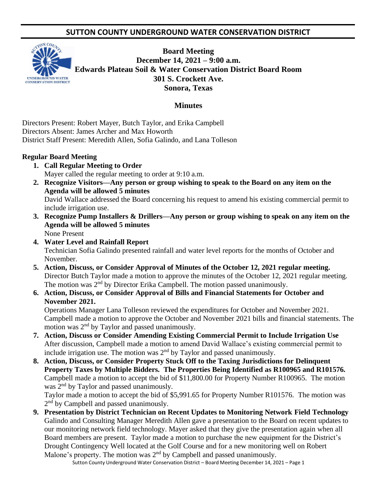# **SUTTON COUNTY UNDERGROUND WATER CONSERVATION DISTRICT**



**Board Meeting December 14, 2021 – 9:00 a.m. Edwards Plateau Soil & Water Conservation District Board Room 301 S. Crockett Ave. Sonora, Texas** 

#### **Minutes**

Directors Present: Robert Mayer, Butch Taylor, and Erika Campbell Directors Absent: James Archer and Max Howorth District Staff Present: Meredith Allen, Sofia Galindo, and Lana Tolleson

#### **Regular Board Meeting**

- **1. Call Regular Meeting to Order** Mayer called the regular meeting to order at 9:10 a.m.
- **2. Recognize Visitors—Any person or group wishing to speak to the Board on any item on the Agenda will be allowed 5 minutes** David Wallace addressed the Board concerning his request to amend his existing commercial permit to include irrigation use.
- **3. Recognize Pump Installers & Drillers—Any person or group wishing to speak on any item on the Agenda will be allowed 5 minutes** None Present
- **4. Water Level and Rainfall Report** Technician Sofia Galindo presented rainfall and water level reports for the months of October and November.
- **5. Action, Discuss, or Consider Approval of Minutes of the October 12, 2021 regular meeting.** Director Butch Taylor made a motion to approve the minutes of the October 12, 2021 regular meeting. The motion was 2<sup>nd</sup> by Director Erika Campbell. The motion passed unanimously.
- **6. Action, Discuss, or Consider Approval of Bills and Financial Statements for October and November 2021.**

Operations Manager Lana Tolleson reviewed the expenditures for October and November 2021. Campbell made a motion to approve the October and November 2021 bills and financial statements. The motion was  $2<sup>nd</sup>$  by Taylor and passed unanimously.

- **7. Action, Discuss or Consider Amending Existing Commercial Permit to Include Irrigation Use** After discussion, Campbell made a motion to amend David Wallace's existing commercial permit to include irrigation use. The motion was 2<sup>nd</sup> by Taylor and passed unanimously.
- **8. Action, Discuss, or Consider Property Stuck Off to the Taxing Jurisdictions for Delinquent Property Taxes by Multiple Bidders. The Properties Being Identified as R100965 and R101576.** Campbell made a motion to accept the bid of \$11,800.00 for Property Number R100965. The motion was 2<sup>nd</sup> by Taylor and passed unanimously.

Taylor made a motion to accept the bid of \$5,991.65 for Property Number R101576. The motion was 2<sup>nd</sup> by Campbell and passed unanimously.

**9. Presentation by District Technician on Recent Updates to Monitoring Network Field Technology** Galindo and Consulting Manager Meredith Allen gave a presentation to the Board on recent updates to our monitoring network field technology. Mayer asked that they give the presentation again when all Board members are present. Taylor made a motion to purchase the new equipment for the District's Drought Contingency Well located at the Golf Course and for a new monitoring well on Robert Malone's property. The motion was  $2<sup>nd</sup>$  by Campbell and passed unanimously.